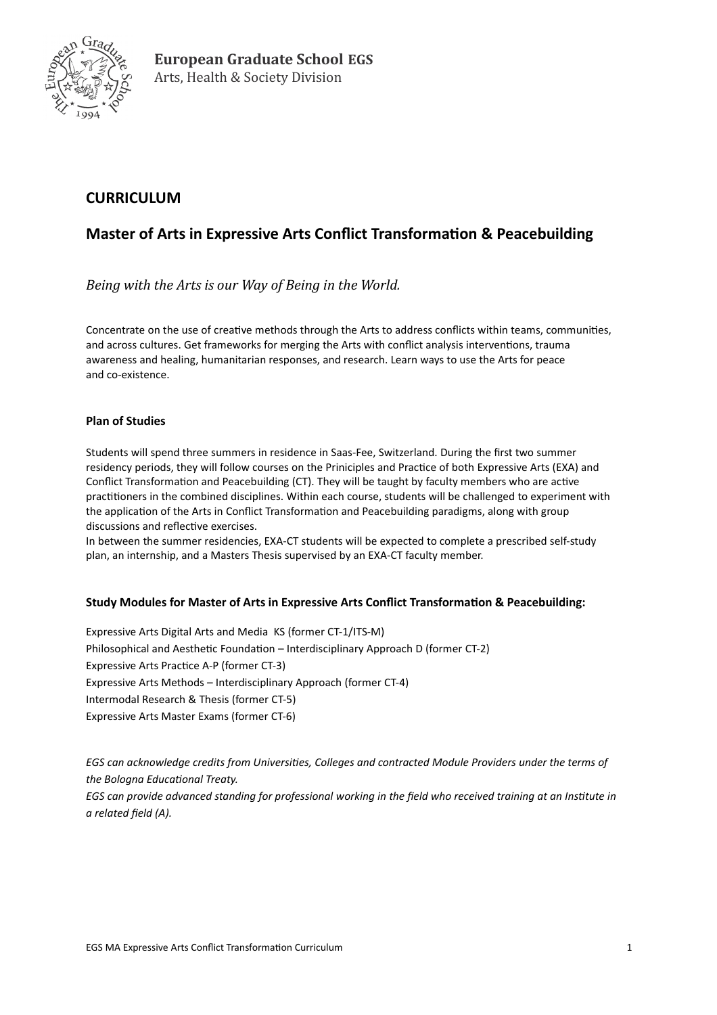

# **CURRICULUM**

## **Master of Arts in Expressive Arts Conflict Transformation & Peacebuilding**

*Being with the Arts is our Way of Being in the World.* 

Concentrate on the use of creative methods through the Arts to address conflicts within teams, communities, and across cultures. Get frameworks for merging the Arts with conflict analysis interventions, trauma awareness and healing, humanitarian responses, and research. Learn ways to use the Arts for peace and co-existence.

#### **Plan of Studies**

Students will spend three summers in residence in Saas-Fee, Switzerland. During the first two summer residency periods, they will follow courses on the Priniciples and Practice of both Expressive Arts (EXA) and Conflict Transformation and Peacebuilding (CT). They will be taught by faculty members who are active practitioners in the combined disciplines. Within each course, students will be challenged to experiment with the application of the Arts in Conflict Transformation and Peacebuilding paradigms, along with group discussions and reflective exercises.

In between the summer residencies, EXA-CT students will be expected to complete a prescribed self-study plan, an internship, and a Masters Thesis supervised by an EXA-CT faculty member.

### **Study Modules for Master of Arts in Expressive Arts Conflict Transformation & Peacebuilding:**

Expressive Arts Digital Arts and Media KS (former CT-1/ITS-M) Philosophical and Aesthetic Foundation – Interdisciplinary Approach D (former CT-2) Expressive Arts Practice A-P (former CT-3) Expressive Arts Methods – Interdisciplinary Approach (former CT-4) Intermodal Research & Thesis (former CT-5) Expressive Arts Master Exams (former CT-6)

*EGS can acknowledge credits from Universities, Colleges and contracted Module Providers under the terms of the Bologna Educational Treaty. EGS can provide advanced standing for professional working in the field who received training at an Institute in a related field (A).*